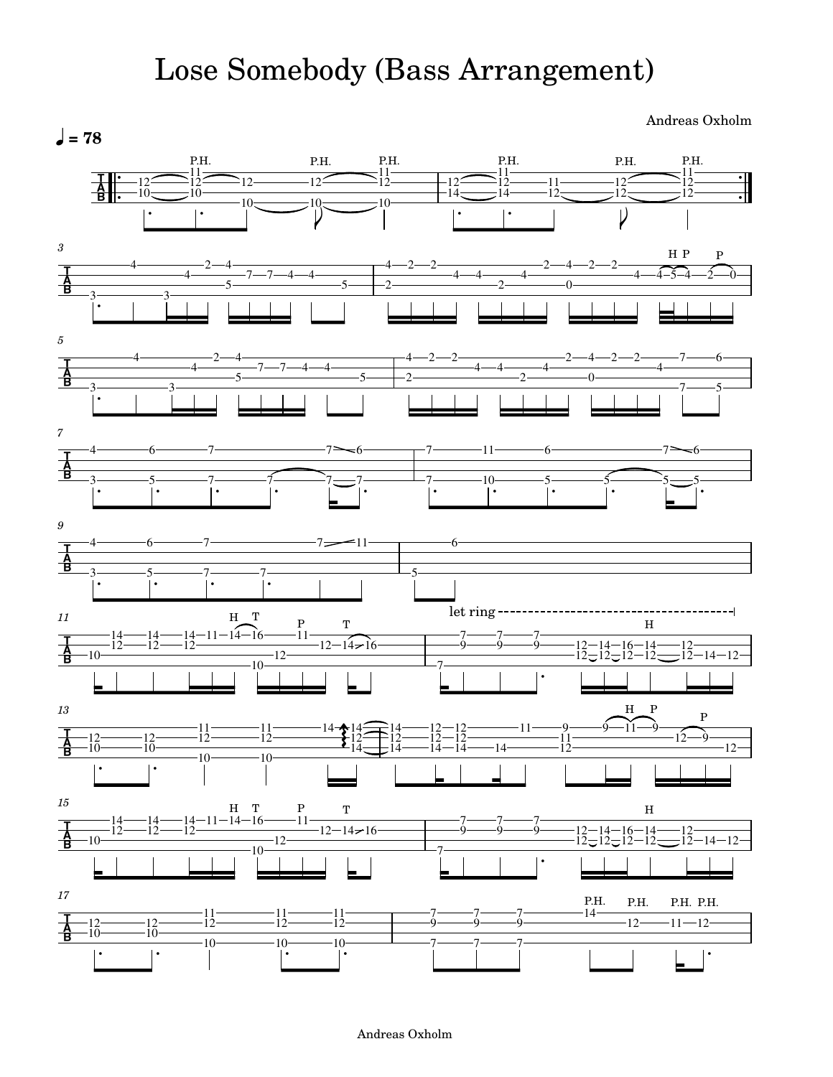## Lose Somebody (Bass Arrangement)

Andreas Oxholm



## Andreas Oxholm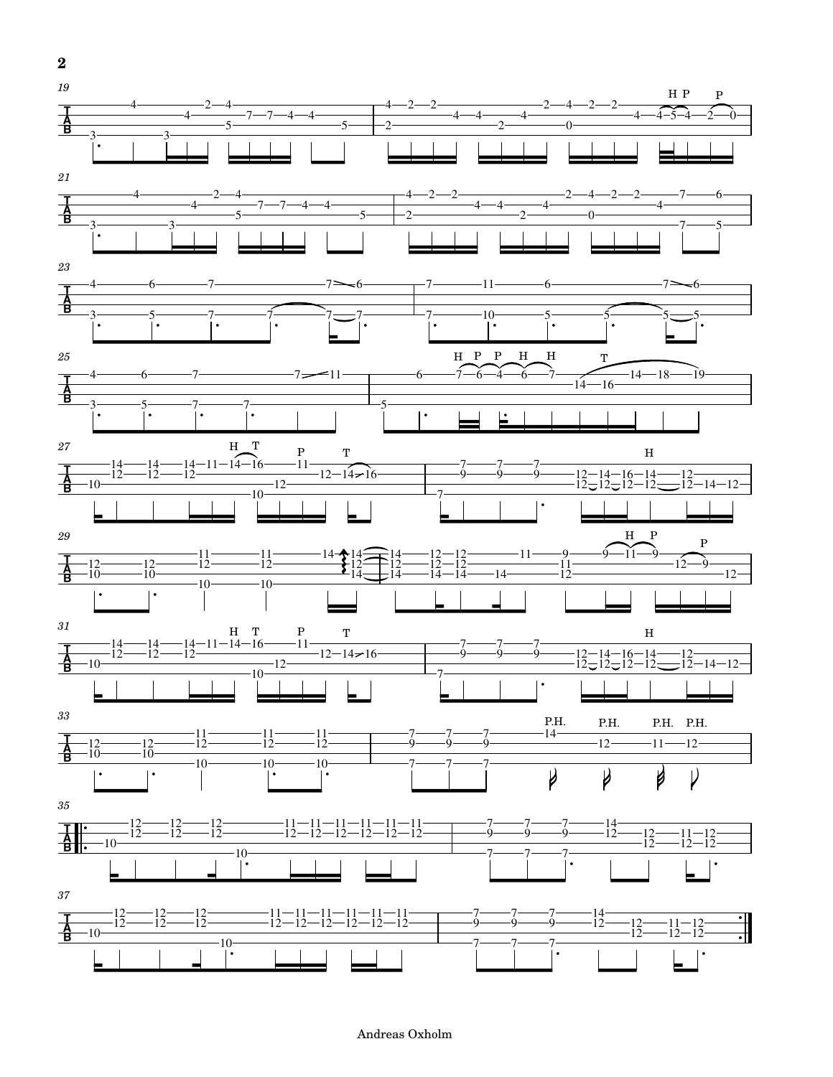

## Andreas Oxholm